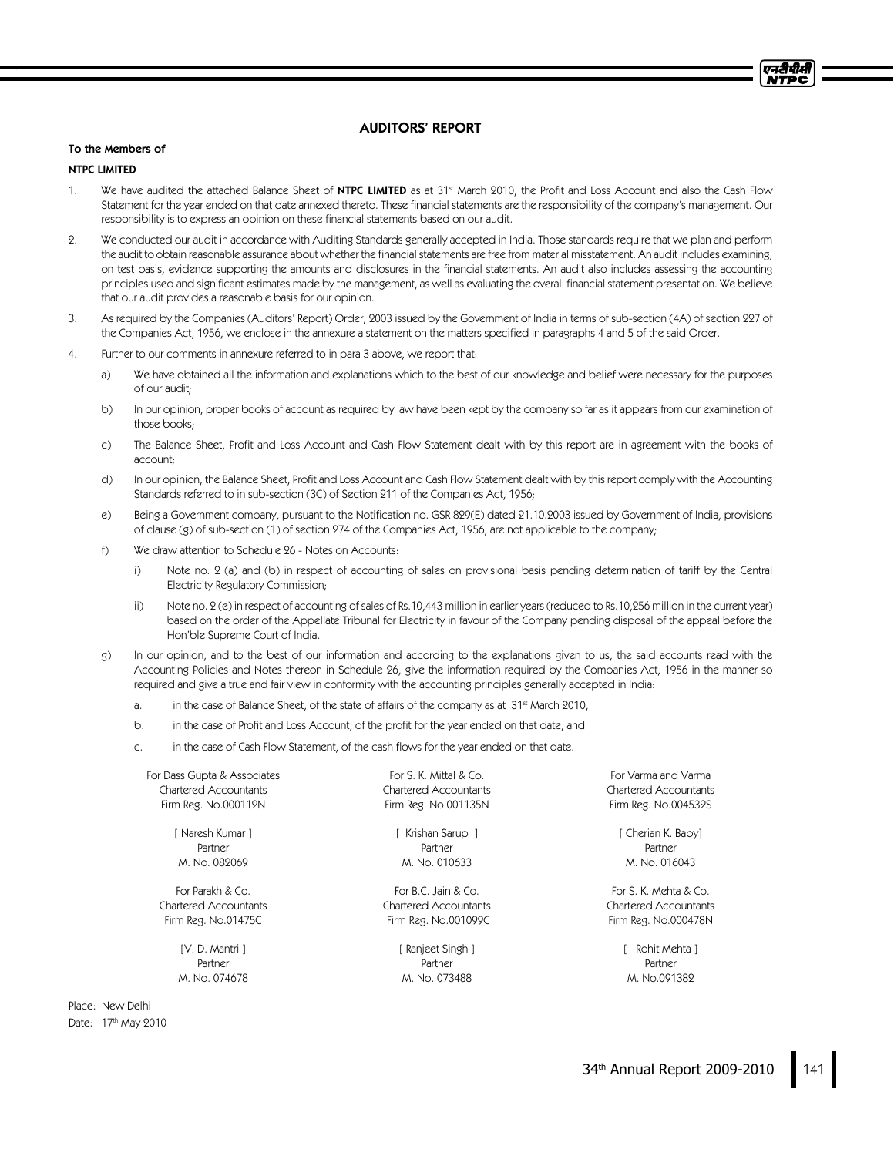# AUDITORS' REPORT

### To the Members of

## NTPC LIMITED

- 1. We have audited the attached Balance Sheet of <code>NTPC LIMITED</code> as at 31st March 2010, the Profit and Loss Account and also the Cash Flow Statement for the year ended on that date annexed thereto. These financial statements are the responsibility of the company's management. Our responsibility is to express an opinion on these financial statements based on our audit.
- 2. We conducted our audit in accordance with Auditing Standards generally accepted in India. Those standards require that we plan and perform the audit to obtain reasonable assurance about whether the financial statements are free from material misstatement. An audit includes examining, on test basis, evidence supporting the amounts and disclosures in the financial statements. An audit also includes assessing the accounting principles used and significant estimates made by the management, as well as evaluating the overall financial statement presentation. We believe that our audit provides a reasonable basis for our opinion.
- 3. As required by the Companies (Auditors' Report) Order, 2003 issued by the Government of India in terms of sub-section (4A) of section 227 of the Companies Act, 1956, we enclose in the annexure a statement on the matters specified in paragraphs 4 and 5 of the said Order.
- 4. Further to our comments in annexure referred to in para 3 above, we report that:
	- a) We have obtained all the information and explanations which to the best of our knowledge and belief were necessary for the purposes of our audit;
	- b) In our opinion, proper books of account as required by law have been kept by the company so far as it appears from our examination of those books;
	- c) The Balance Sheet, Profit and Loss Account and Cash Flow Statement dealt with by this report are in agreement with the books of account;
	- d) In our opinion, the Balance Sheet, Profit and Loss Account and Cash Flow Statement dealt with by this report comply with the Accounting Standards referred to in sub-section (3C) of Section 211 of the Companies Act, 1956;
	- e) Being a Government company, pursuant to the Notification no. GSR 829(E) dated 21.10.2003 issued by Government of India, provisions of clause (g) of sub-section (1) of section 274 of the Companies Act, 1956, are not applicable to the company;
	- f) We draw attention to Schedule 26 Notes on Accounts:
		- i) Note no. 2 (a) and (b) in respect of accounting of sales on provisional basis pending determination of tariff by the Central Electricity Regulatory Commission;
		- ii) Note no. 2 (e) in respect of accounting of sales of Rs.10,443 million in earlier years (reduced to Rs.10,256 million in the current year) based on the order of the Appellate Tribunal for Electricity in favour of the Company pending disposal of the appeal before the Hon'ble Supreme Court of India.
	- g) In our opinion, and to the best of our information and according to the explanations given to us, the said accounts read with the Accounting Policies and Notes thereon in Schedule 26, give the information required by the Companies Act, 1956 in the manner so required and give a true and fair view in conformity with the accounting principles generally accepted in India:
		- a. in the case of Balance Sheet, of the state of affairs of the company as at  $31<sup>st</sup>$  March 2010,
		- b. in the case of Profit and Loss Account, of the profit for the year ended on that date, and
		- c. in the case of Cash Flow Statement, of the cash flows for the year ended on that date.

For Dass Gupta & Associates Chartered Accountants Firm Reg. No.000112N

> [ Naresh Kumar ] Partner M. No. 082069

For Parakh & Co. Chartered Accountants Firm Reg. No.01475C

> [V. D. Mantri ] Partner M. No. 074678

Place: New Delhi Date: 17<sup>th</sup> May 2010

For S. K. Mittal & Co. Chartered Accountants Firm Reg. No.001135N

[ Krishan Sarup ] Partner M. No. 010633

For B.C. Jain & Co. Chartered Accountants Firm Reg. No.001099C

> [ Ranjeet Singh ] Partner M. No. 073488

For Varma and Varma Chartered Accountants Firm Reg. No.004532S

> [ Cherian K. Baby] Partner M. No. 016043

For S. K. Mehta & Co. Chartered Accountants Firm Reg. No.000478N

> [ Rohit Mehta ] Partner M. No.091382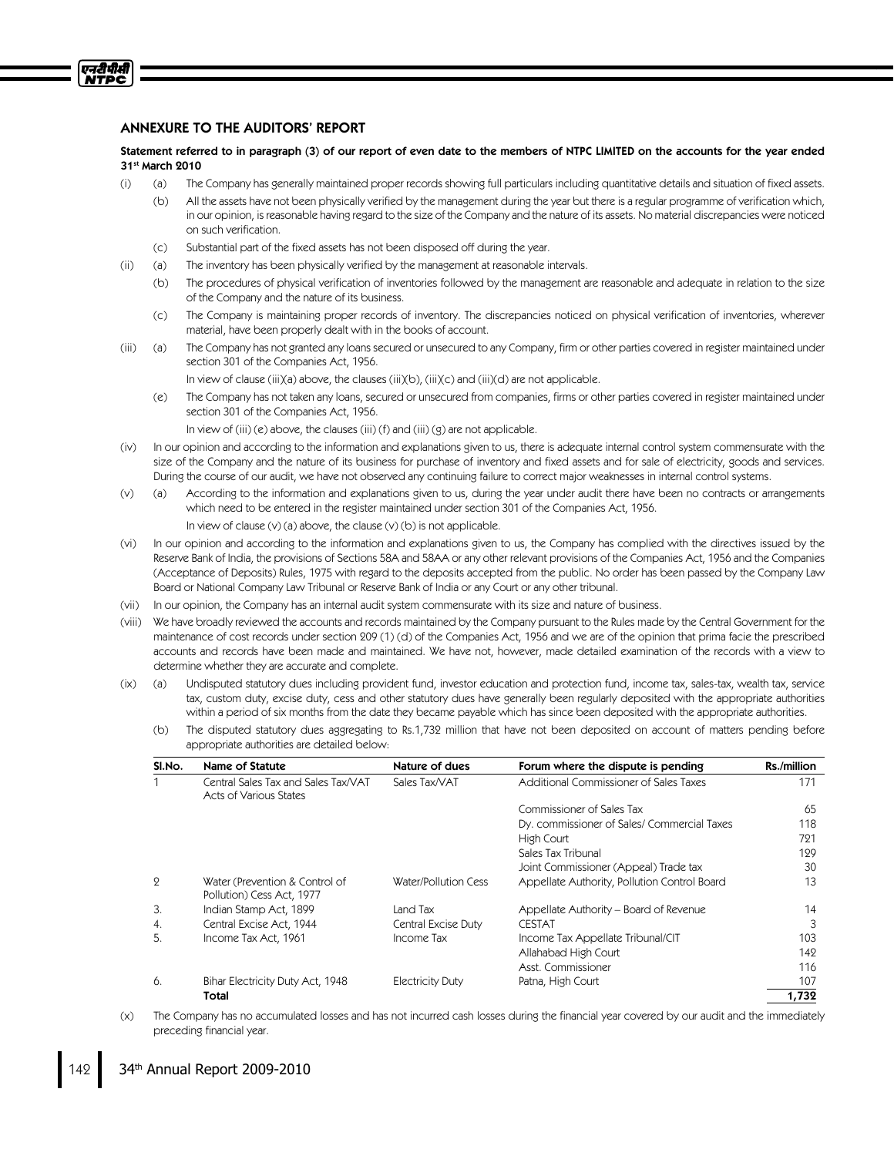# ANNEXURE TO THE AUDITORS' REPORT

एनरीपीसी **NTPC** 

> Statement referred to in paragraph (3) of our report of even date to the members of NTPC LIMITED on the accounts for the year ended 31st March 2010

- (i) (a) The Company has generally maintained proper records showing full particulars including quantitative details and situation of fixed assets.
	- (b) All the assets have not been physically verified by the management during the year but there is a regular programme of verification which, in our opinion, is reasonable having regard to the size of the Company and the nature of its assets. No material discrepancies were noticed on such verification.
	- (c) Substantial part of the fixed assets has not been disposed off during the year.
- (ii) (a) The inventory has been physically verified by the management at reasonable intervals.
	- (b) The procedures of physical verification of inventories followed by the management are reasonable and adequate in relation to the size of the Company and the nature of its business.
	- (c) The Company is maintaining proper records of inventory. The discrepancies noticed on physical verification of inventories, wherever material, have been properly dealt with in the books of account.
- (iii) (a) The Company has not granted any loans secured or unsecured to any Company, firm or other parties covered in register maintained under section 301 of the Companies Act, 1956.
	- In view of clause (iii)(a) above, the clauses (iii)(b), (iii)(c) and (iii)(d) are not applicable.
	- (e) The Company has not taken any loans, secured or unsecured from companies, firms or other parties covered in register maintained under section 301 of the Companies Act, 1956.
		- In view of (iii) (e) above, the clauses (iii) (f) and (iii) (g) are not applicable.
- (iv) In our opinion and according to the information and explanations given to us, there is adequate internal control system commensurate with the size of the Company and the nature of its business for purchase of inventory and fixed assets and for sale of electricity, goods and services. During the course of our audit, we have not observed any continuing failure to correct major weaknesses in internal control systems.
- (v) (a) According to the information and explanations given to us, during the year under audit there have been no contracts or arrangements which need to be entered in the register maintained under section 301 of the Companies Act, 1956.
	- In view of clause (v) (a) above, the clause (v) (b) is not applicable.
- (vi) In our opinion and according to the information and explanations given to us, the Company has complied with the directives issued by the Reserve Bank of India, the provisions of Sections 58A and 58AA or any other relevant provisions of the Companies Act, 1956 and the Companies (Acceptance of Deposits) Rules, 1975 with regard to the deposits accepted from the public. No order has been passed by the Company Law Board or National Company Law Tribunal or Reserve Bank of India or any Court or any other tribunal.
- (vii) In our opinion, the Company has an internal audit system commensurate with its size and nature of business.
- (viii) We have broadly reviewed the accounts and records maintained by the Company pursuant to the Rules made by the Central Government for the maintenance of cost records under section 209 (1) (d) of the Companies Act, 1956 and we are of the opinion that prima facie the prescribed accounts and records have been made and maintained. We have not, however, made detailed examination of the records with a view to determine whether they are accurate and complete.
- (ix) (a) Undisputed statutory dues including provident fund, investor education and protection fund, income tax, sales-tax, wealth tax, service tax, custom duty, excise duty, cess and other statutory dues have generally been regularly deposited with the appropriate authorities within a period of six months from the date they became payable which has since been deposited with the appropriate authorities.
	- (b) The disputed statutory dues aggregating to Rs.1,732 million that have not been deposited on account of matters pending before appropriate authorities are detailed below:

| SI.No.         | Name of Statute                                               | Nature of dues          | Forum where the dispute is pending           | Rs./million |
|----------------|---------------------------------------------------------------|-------------------------|----------------------------------------------|-------------|
|                | Central Sales Tax and Sales Tax/VAT<br>Acts of Various States | Sales Tax/VAT           | Additional Commissioner of Sales Taxes       | 171         |
|                |                                                               |                         | Commissioner of Sales Tax                    | 65          |
|                |                                                               |                         | Dy. commissioner of Sales/ Commercial Taxes  | 118         |
|                |                                                               |                         | High Court                                   | 721         |
|                |                                                               |                         | Sales Tax Tribunal                           | 129         |
|                |                                                               |                         | Joint Commissioner (Appeal) Trade tax        | 30          |
| $\overline{2}$ | Water (Prevention & Control of<br>Pollution) Cess Act, 1977   | Water/Pollution Cess    | Appellate Authority, Pollution Control Board | 13          |
| 3.             | Indian Stamp Act, 1899                                        | Land Tax                | Appellate Authority – Board of Revenue       | 14          |
| 4.             | Central Excise Act, 1944                                      | Central Excise Duty     | <b>CESTAT</b>                                | 3           |
| 5.             | Income Tax Act, 1961                                          | Income Tax              | Income Tax Appellate Tribunal/CIT            | 103         |
|                |                                                               |                         | Allahabad High Court                         | 142         |
|                |                                                               |                         | Asst. Commissioner                           | 116         |
| 6.             | Bihar Electricity Duty Act, 1948                              | <b>Electricity Duty</b> | Patna, High Court                            | 107         |
|                | Total                                                         |                         |                                              | 1,732       |

(x) The Company has no accumulated losses and has not incurred cash losses during the financial year covered by our audit and the immediately preceding financial year.